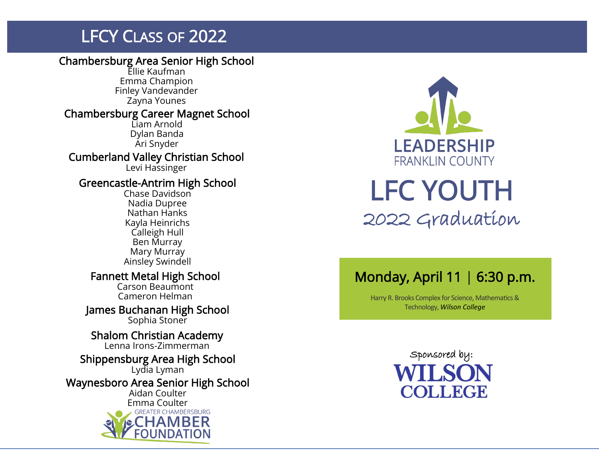# **LFCY CLASS OF 2022**

### Chambersburg Area Senior High School

Ellie Kaufman Emma Champion Finley Vandevander Zayna Younes

#### Chambersburg Career Magnet School

Liam Arnold Dylan Banda Ari Snyder

Cumberland Valley Christian School Levi Hassinger

### Greencastle -Antrim High School

Chase Davidson Nadia Dupree Nathan Hanks Kayla Heinrichs Calleigh Hull Ben Murray Mary Murray Ainsley Swindell

### Fannett Metal High School

Carson Beaumont Cameron Helman

James Buchanan High School Sophia Stoner

Shalom Christian Academy Lenna Irons -Zimmerman

### Shippensburg Area High School

Lydia Lyman

Waynesboro Area Senior High School

Aidan Coulter





# LFC YOUTH 2022 Graduation

### Monday, April 11 | 6:30 p.m.

Harry R. Brooks Complex for Science, Mathematics & Technology, *Wilson College*